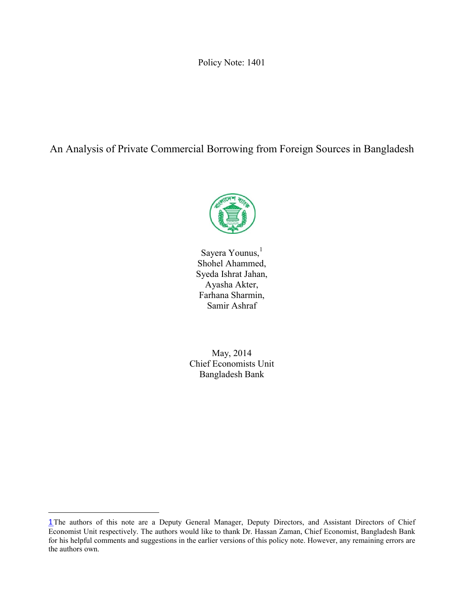Policy Note: 1401

An Analysis of Private Commercial Borrowing from Foreign Sources in Bangladesh



Sayera Younus,<sup>1</sup> Shohel Ahammed, Syeda Ishrat Jahan, Ayasha Akter, Farhana Sharmin, Samir Ashraf

May, 2014 Chief Economists Unit Bangladesh Bank

l

<sup>1</sup>The authors of this note are a Deputy General Manager, Deputy Directors, and Assistant Directors of Chief Economist Unit respectively. The authors would like to thank Dr. Hassan Zaman, Chief Economist, Bangladesh Bank for his helpful comments and suggestions in the earlier versions of this policy note. However, any remaining errors are the authors own.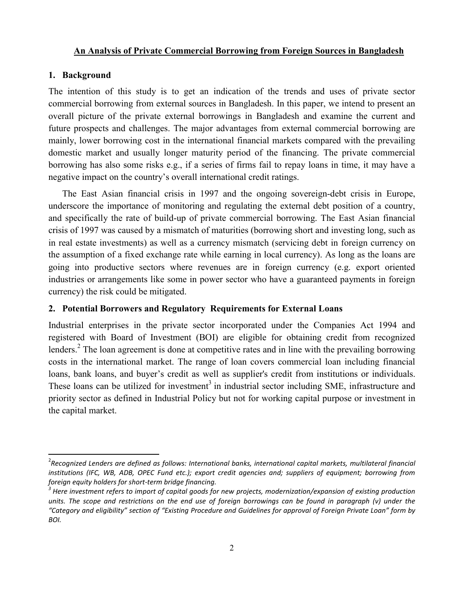### An Analysis of Private Commercial Borrowing from Foreign Sources in Bangladesh

#### 1. Background

The intention of this study is to get an indication of the trends and uses of private sector commercial borrowing from external sources in Bangladesh. In this paper, we intend to present an overall picture of the private external borrowings in Bangladesh and examine the current and future prospects and challenges. The major advantages from external commercial borrowing are mainly, lower borrowing cost in the international financial markets compared with the prevailing domestic market and usually longer maturity period of the financing. The private commercial borrowing has also some risks e.g., if a series of firms fail to repay loans in time, it may have a negative impact on the country's overall international credit ratings.

The East Asian financial crisis in 1997 and the ongoing sovereign-debt crisis in Europe, underscore the importance of monitoring and regulating the external debt position of a country, and specifically the rate of build-up of private commercial borrowing. The East Asian financial crisis of 1997 was caused by a mismatch of maturities (borrowing short and investing long, such as in real estate investments) as well as a currency mismatch (servicing debt in foreign currency on the assumption of a fixed exchange rate while earning in local currency). As long as the loans are going into productive sectors where revenues are in foreign currency (e.g. export oriented industries or arrangements like some in power sector who have a guaranteed payments in foreign currency) the risk could be mitigated.

### 2. Potential Borrowers and Regulatory Requirements for External Loans

Industrial enterprises in the private sector incorporated under the Companies Act 1994 and registered with Board of Investment (BOI) are eligible for obtaining credit from recognized lenders.<sup>2</sup> The loan agreement is done at competitive rates and in line with the prevailing borrowing costs in the international market. The range of loan covers commercial loan including financial loans, bank loans, and buyer's credit as well as supplier's credit from institutions or individuals. These loans can be utilized for investment<sup>3</sup> in industrial sector including SME, infrastructure and priority sector as defined in Industrial Policy but not for working capital purpose or investment in the capital market.

 $\frac{1}{2}$ *Recognized Lenders are defined as follows: International banks, international capital markets, multilateral financial institutions (IFC, WB, ADB, OPEC Fund etc.); export credit agencies and; suppliers of equipment; borrowing from foreign equity holders for short-term bridge financing. <sup>3</sup> Here investment refers to import of capital goods for new projects, modernization/expansion of existing production* 

*units. The scope and restrictions on the end use of foreign borrowings can be found in paragraph (v) under the "Category and eligibility" section of "Existing Procedure and Guidelines for approval of Foreign Private Loan" form by BOI.*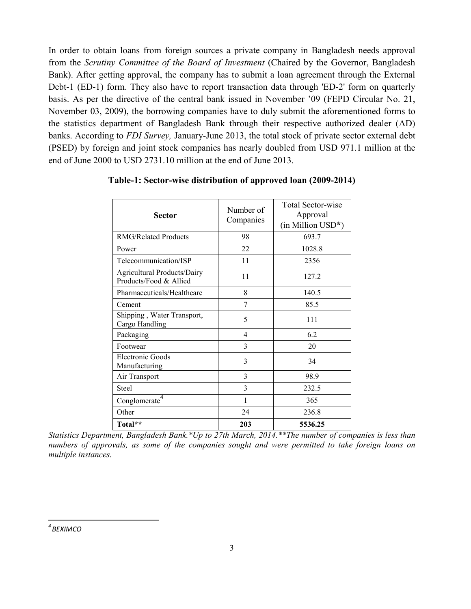In order to obtain loans from foreign sources a private company in Bangladesh needs approval from the *Scrutiny Committee of the Board of Investment* (Chaired by the Governor, Bangladesh Bank). After getting approval, the company has to submit a loan agreement through the External Debt-1 (ED-1) form. They also have to report transaction data through 'ED-2' form on quarterly basis. As per the directive of the central bank issued in November '09 (FEPD Circular No. 21, November 03, 2009), the borrowing companies have to duly submit the aforementioned forms to the statistics department of Bangladesh Bank through their respective authorized dealer (AD) banks. According to *FDI Survey,* January-June 2013, the total stock of private sector external debt (PSED) by foreign and joint stock companies has nearly doubled from USD 971.1 million at the end of June 2000 to USD 2731.10 million at the end of June 2013.

| <b>Sector</b>                                                | Number of<br>Companies | <b>Total Sector-wise</b><br>Approval<br>$(in$ Million $USD^*)$ |  |
|--------------------------------------------------------------|------------------------|----------------------------------------------------------------|--|
| <b>RMG/Related Products</b>                                  | 98                     | 693.7                                                          |  |
| Power                                                        | 22                     | 1028.8                                                         |  |
| Telecommunication/ISP                                        | 11                     | 2356                                                           |  |
| <b>Agricultural Products/Dairy</b><br>Products/Food & Allied | 11                     | 127.2                                                          |  |
| Pharmaceuticals/Healthcare                                   | 8                      | 140.5                                                          |  |
| Cement                                                       | 7                      | 85.5                                                           |  |
| Shipping, Water Transport,<br>Cargo Handling                 | 5                      | 111                                                            |  |
| Packaging                                                    | 4                      | 6.2                                                            |  |
| Footwear                                                     | 3                      | 20                                                             |  |
| <b>Electronic Goods</b><br>Manufacturing                     | 3                      | 34                                                             |  |
| Air Transport                                                | 3                      | 98.9                                                           |  |
| <b>Steel</b>                                                 | 3                      | 232.5                                                          |  |
| Conglomerate                                                 | 1                      | 365                                                            |  |
| Other                                                        | 24                     | 236.8                                                          |  |
| Total**                                                      | 203                    | 5536.25                                                        |  |

Table-1: Sector-wise distribution of approved loan (2009-2014)

*Statistics Department, Bangladesh Bank.\*Up to 27th March, 2014.\*\*The number of companies is less than numbers of approvals, as some of the companies sought and were permitted to take foreign loans on multiple instances.*

 *4 BEXIMCO*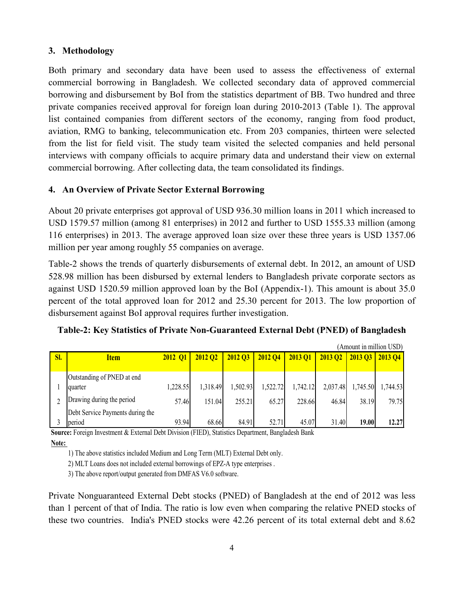### 3. Methodology

Both primary and secondary data have been used to assess the effectiveness of external commercial borrowing in Bangladesh. We collected secondary data of approved commercial borrowing and disbursement by BoI from the statistics department of BB. Two hundred and three private companies received approval for foreign loan during 2010-2013 (Table 1). The approval list contained companies from different sectors of the economy, ranging from food product, aviation, RMG to banking, telecommunication etc. From 203 companies, thirteen were selected from the list for field visit. The study team visited the selected companies and held personal interviews with company officials to acquire primary data and understand their view on external commercial borrowing. After collecting data, the team consolidated its findings.

### 4. An Overview of Private Sector External Borrowing

About 20 private enterprises got approval of USD 936.30 million loans in 2011 which increased to USD 1579.57 million (among 81 enterprises) in 2012 and further to USD 1555.33 million (among 116 enterprises) in 2013. The average approved loan size over these three years is USD 1357.06 million per year among roughly 55 companies on average.

Table-2 shows the trends of quarterly disbursements of external debt. In 2012, an amount of USD 528.98 million has been disbursed by external lenders to Bangladesh private corporate sectors as against USD 1520.59 million approved loan by the BoI (Appendix-1). This amount is about 35.0 percent of the total approved loan for 2012 and 25.30 percent for 2013. The low proportion of disbursement against BoI approval requires further investigation.

|     |                                  |                |                |                |          |          |                | (Amount in million USD) |                |
|-----|----------------------------------|----------------|----------------|----------------|----------|----------|----------------|-------------------------|----------------|
| SI. | <b>Item</b>                      | <b>2012 O1</b> | <b>2012 O2</b> | <b>2012 O3</b> | 2012 04  | 2013 01  | <b>2013 Q2</b> | <b>2013 Q3</b>          | <b>2013 O4</b> |
|     |                                  |                |                |                |          |          |                |                         |                |
|     | Outstanding of PNED at end       |                |                |                |          |          |                |                         |                |
|     | quarter                          | 1,228.55       | 1,318.49       | 1,502.93       | 1,522.72 | 1,742.12 | 2,037.48       | 1,745.50                | 1,744.53       |
|     | Drawing during the period        | 57.46          | 151.04         | 255.21         | 65.27    | 228.66   | 46.84          | 38.19                   | 79.75          |
|     | Debt Service Payments during the |                |                |                |          |          |                |                         |                |
|     | period                           | 93.94          | 68.66          | 84.91          | 52.71    | 45.07    | 31.40          | 19.00                   | 12.27          |

Source: Foreign Investment & External Debt Division (FIED), Statistics Department, Bangladesh Bank

Note:

1) The above statistics included Medium and Long Term (MLT) External Debt only.

2) MLT Loans does not included external borrowings of EPZ-A type enterprises .

3) The above report/output generated from DMFAS V6.0 software.

Private Nonguaranteed External Debt stocks (PNED) of Bangladesh at the end of 2012 was less than 1 percent of that of India. The ratio is low even when comparing the relative PNED stocks of these two countries. India's PNED stocks were 42.26 percent of its total external debt and 8.62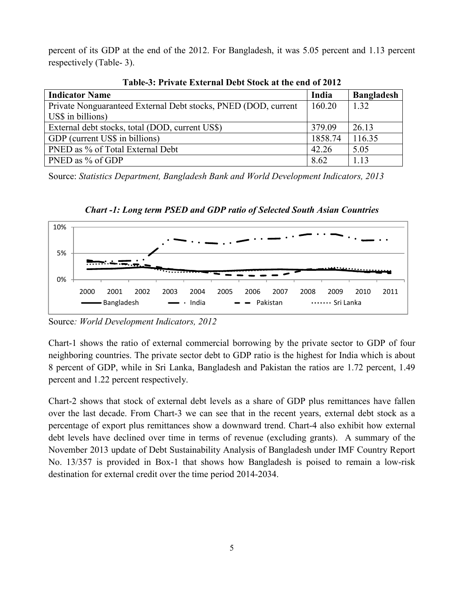percent of its GDP at the end of the 2012. For Bangladesh, it was 5.05 percent and 1.13 percent respectively (Table- 3).

| <b>Indicator Name</b>                                          | India   | <b>Bangladesh</b> |
|----------------------------------------------------------------|---------|-------------------|
| Private Nonguaranteed External Debt stocks, PNED (DOD, current | 160.20  | 1.32              |
| US\$ in billions)                                              |         |                   |
| External debt stocks, total (DOD, current US\$)                | 379.09  | 26.13             |
| GDP (current US\$ in billions)                                 | 1858.74 | 116.35            |
| PNED as % of Total External Debt                               | 42.26   | 5.05              |
| PNED as % of GDP                                               | 8.62    | 1.13              |

Table-3: Private External Debt Stock at the end of 2012

Source: *Statistics Department, Bangladesh Bank and World Development Indicators, 2013*



*Chart -1: Long term PSED and GDP ratio of Selected South Asian Countries*

Chart-1 shows the ratio of external commercial borrowing by the private sector to GDP of four neighboring countries. The private sector debt to GDP ratio is the highest for India which is about 8 percent of GDP, while in Sri Lanka, Bangladesh and Pakistan the ratios are 1.72 percent, 1.49 percent and 1.22 percent respectively.

Chart-2 shows that stock of external debt levels as a share of GDP plus remittances have fallen over the last decade. From Chart-3 we can see that in the recent years, external debt stock as a percentage of export plus remittances show a downward trend. Chart-4 also exhibit how external debt levels have declined over time in terms of revenue (excluding grants). A summary of the November 2013 update of Debt Sustainability Analysis of Bangladesh under IMF Country Report No. 13/357 is provided in Box-1 that shows how Bangladesh is poised to remain a low-risk destination for external credit over the time period 2014-2034.

Source*: World Development Indicators, 2012*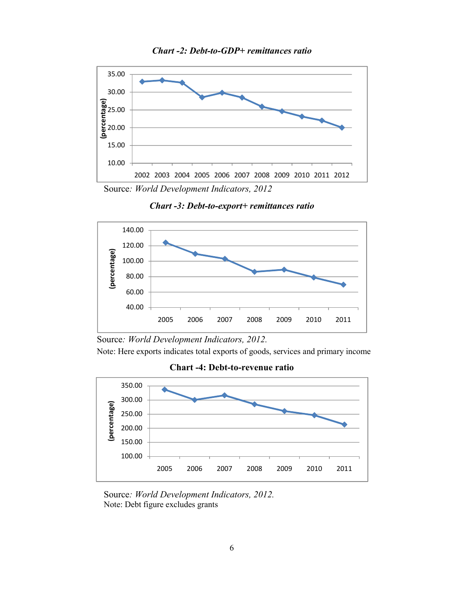



Source*: World Development Indicators, 2012*

*Chart -3: Debt-to-export+ remittances ratio*



Source*: World Development Indicators, 2012.*

Note: Here exports indicates total exports of goods, services and primary income

Chart -4: Debt-to-revenue ratio



Source*: World Development Indicators, 2012.* Note: Debt figure excludes grants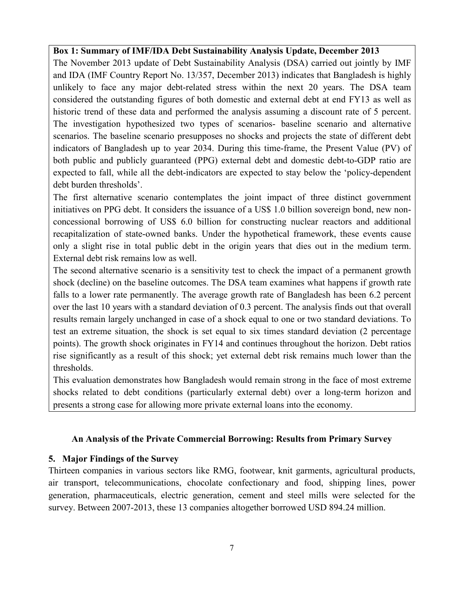### Box 1: Summary of IMF/IDA Debt Sustainability Analysis Update, December 2013

The November 2013 update of Debt Sustainability Analysis (DSA) carried out jointly by IMF and IDA (IMF Country Report No. 13/357, December 2013) indicates that Bangladesh is highly unlikely to face any major debt-related stress within the next 20 years. The DSA team considered the outstanding figures of both domestic and external debt at end FY13 as well as historic trend of these data and performed the analysis assuming a discount rate of 5 percent. The investigation hypothesized two types of scenarios- baseline scenario and alternative scenarios. The baseline scenario presupposes no shocks and projects the state of different debt indicators of Bangladesh up to year 2034. During this time-frame, the Present Value (PV) of both public and publicly guaranteed (PPG) external debt and domestic debt-to-GDP ratio are expected to fall, while all the debt-indicators are expected to stay below the 'policy-dependent debt burden thresholds'.

The first alternative scenario contemplates the joint impact of three distinct government initiatives on PPG debt. It considers the issuance of a US\$ 1.0 billion sovereign bond, new nonconcessional borrowing of US\$ 6.0 billion for constructing nuclear reactors and additional recapitalization of state-owned banks. Under the hypothetical framework, these events cause only a slight rise in total public debt in the origin years that dies out in the medium term. External debt risk remains low as well.

The second alternative scenario is a sensitivity test to check the impact of a permanent growth shock (decline) on the baseline outcomes. The DSA team examines what happens if growth rate falls to a lower rate permanently. The average growth rate of Bangladesh has been 6.2 percent over the last 10 years with a standard deviation of 0.3 percent. The analysis finds out that overall results remain largely unchanged in case of a shock equal to one or two standard deviations. To test an extreme situation, the shock is set equal to six times standard deviation (2 percentage points). The growth shock originates in FY14 and continues throughout the horizon. Debt ratios rise significantly as a result of this shock; yet external debt risk remains much lower than the thresholds.

This evaluation demonstrates how Bangladesh would remain strong in the face of most extreme shocks related to debt conditions (particularly external debt) over a long-term horizon and presents a strong case for allowing more private external loans into the economy.

### An Analysis of the Private Commercial Borrowing: Results from Primary Survey

### 5. Major Findings of the Survey

Thirteen companies in various sectors like RMG, footwear, knit garments, agricultural products, air transport, telecommunications, chocolate confectionary and food, shipping lines, power generation, pharmaceuticals, electric generation, cement and steel mills were selected for the survey. Between 2007-2013, these 13 companies altogether borrowed USD 894.24 million.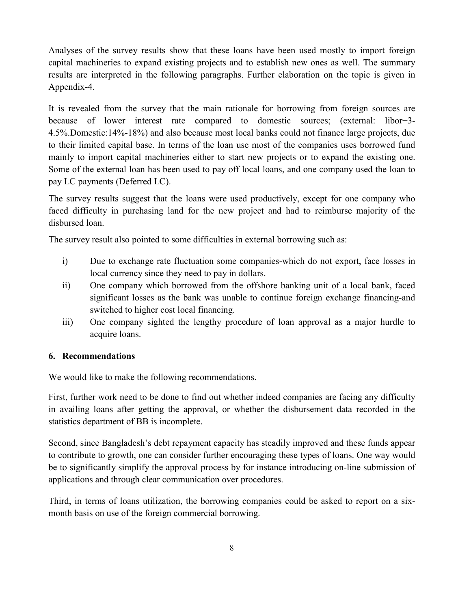Analyses of the survey results show that these loans have been used mostly to import foreign capital machineries to expand existing projects and to establish new ones as well. The summary results are interpreted in the following paragraphs. Further elaboration on the topic is given in Appendix-4.

It is revealed from the survey that the main rationale for borrowing from foreign sources are because of lower interest rate compared to domestic sources; (external: libor+3- 4.5%.Domestic:14%-18%) and also because most local banks could not finance large projects, due to their limited capital base. In terms of the loan use most of the companies uses borrowed fund mainly to import capital machineries either to start new projects or to expand the existing one. Some of the external loan has been used to pay off local loans, and one company used the loan to pay LC payments (Deferred LC).

The survey results suggest that the loans were used productively, except for one company who faced difficulty in purchasing land for the new project and had to reimburse majority of the disbursed loan.

The survey result also pointed to some difficulties in external borrowing such as:

- i) Due to exchange rate fluctuation some companies-which do not export, face losses in local currency since they need to pay in dollars.
- ii) One company which borrowed from the offshore banking unit of a local bank, faced significant losses as the bank was unable to continue foreign exchange financing-and switched to higher cost local financing.
- iii) One company sighted the lengthy procedure of loan approval as a major hurdle to acquire loans.

## 6. Recommendations

We would like to make the following recommendations.

First, further work need to be done to find out whether indeed companies are facing any difficulty in availing loans after getting the approval, or whether the disbursement data recorded in the statistics department of BB is incomplete.

Second, since Bangladesh's debt repayment capacity has steadily improved and these funds appear to contribute to growth, one can consider further encouraging these types of loans. One way would be to significantly simplify the approval process by for instance introducing on-line submission of applications and through clear communication over procedures.

Third, in terms of loans utilization, the borrowing companies could be asked to report on a sixmonth basis on use of the foreign commercial borrowing.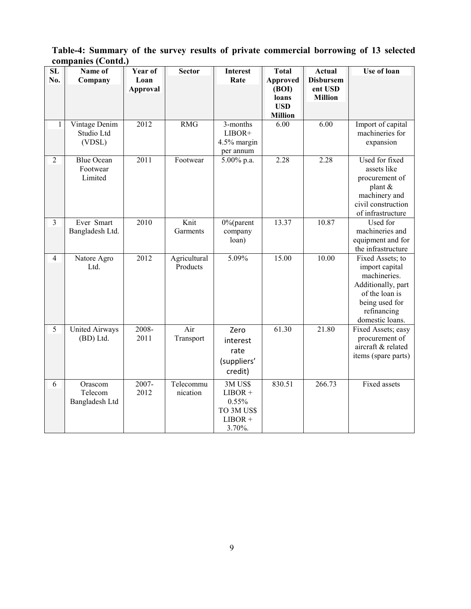Table-4: Summary of the survey results of private commercial borrowing of 13 selected companies (Contd.)

| ${\bf SL}$     | Name of               | Year of         | <b>Sector</b> | <b>Interest</b>          | <b>Total</b>             | <b>Actual</b>               | <b>Use of loan</b>                   |
|----------------|-----------------------|-----------------|---------------|--------------------------|--------------------------|-----------------------------|--------------------------------------|
| No.            | Company               | Loan            |               | Rate                     | <b>Approved</b><br>(BOI) | <b>Disbursem</b><br>ent USD |                                      |
|                |                       | <b>Approval</b> |               |                          | loans                    | <b>Million</b>              |                                      |
|                |                       |                 |               |                          | <b>USD</b>               |                             |                                      |
|                |                       |                 |               |                          | <b>Million</b>           |                             |                                      |
| $\mathbf{1}$   | Vintage Denim         | 2012            | <b>RMG</b>    | 3-months                 | 6.00                     | 6.00                        | Import of capital                    |
|                | Studio Ltd            |                 |               | LIBOR+                   |                          |                             | machineries for                      |
|                | (VDSL)                |                 |               | 4.5% margin<br>per annum |                          |                             | expansion                            |
| $\overline{2}$ | <b>Blue Ocean</b>     | 2011            | Footwear      | 5.00% p.a.               | 2.28                     | 2.28                        | Used for fixed                       |
|                | Footwear              |                 |               |                          |                          |                             | assets like                          |
|                | Limited               |                 |               |                          |                          |                             | procurement of                       |
|                |                       |                 |               |                          |                          |                             | plant &                              |
|                |                       |                 |               |                          |                          |                             | machinery and                        |
|                |                       |                 |               |                          |                          |                             | civil construction                   |
| $\overline{3}$ | Ever Smart            | 2010            | Knit          | $0\%$ (parent            | 13.37                    | 10.87                       | of infrastructure<br>Used for        |
|                | Bangladesh Ltd.       |                 | Garments      | company                  |                          |                             | machineries and                      |
|                |                       |                 |               | loan)                    |                          |                             | equipment and for                    |
|                |                       |                 |               |                          |                          |                             | the infrastructure                   |
| $\overline{4}$ | Natore Agro           | 2012            | Agricultural  | 5.09%                    | 15.00                    | 10.00                       | Fixed Assets; to                     |
|                | Ltd.                  |                 | Products      |                          |                          |                             | import capital                       |
|                |                       |                 |               |                          |                          |                             | machineries.                         |
|                |                       |                 |               |                          |                          |                             | Additionally, part<br>of the loan is |
|                |                       |                 |               |                          |                          |                             | being used for                       |
|                |                       |                 |               |                          |                          |                             | refinancing                          |
|                |                       |                 |               |                          |                          |                             | domestic loans.                      |
| 5              | <b>United Airways</b> | 2008-           | Air           | Zero                     | 61.30                    | 21.80                       | Fixed Assets; easy                   |
|                | (BD) Ltd.             | 2011            | Transport     | interest                 |                          |                             | procurement of                       |
|                |                       |                 |               | rate                     |                          |                             | aircraft & related                   |
|                |                       |                 |               | (suppliers'              |                          |                             | items (spare parts)                  |
|                |                       |                 |               | credit)                  |                          |                             |                                      |
| 6              | Orascom               | $2007 -$        | Telecommu     | 3MUS\$                   | 830.51                   | 266.73                      | Fixed assets                         |
|                | Telecom               | 2012            | nication      | $LIBOR +$                |                          |                             |                                      |
|                | Bangladesh Ltd        |                 |               | 0.55%                    |                          |                             |                                      |
|                |                       |                 |               | TO 3M US\$               |                          |                             |                                      |
|                |                       |                 |               | $LIBOR +$                |                          |                             |                                      |
|                |                       |                 |               | 3.70%.                   |                          |                             |                                      |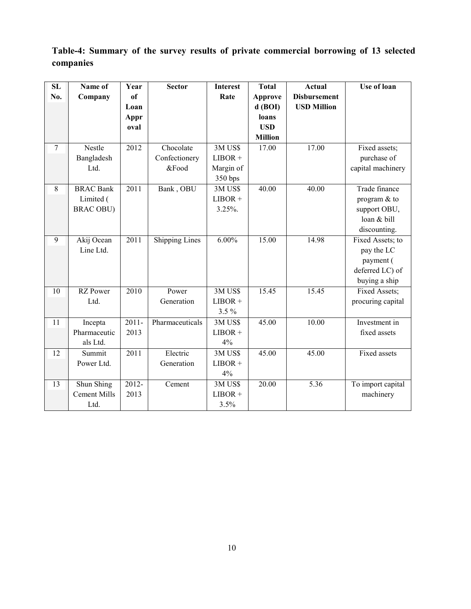|           |  |  | Table-4: Summary of the survey results of private commercial borrowing of 13 selected |  |  |
|-----------|--|--|---------------------------------------------------------------------------------------|--|--|
| companies |  |  |                                                                                       |  |  |

| SL     | Name of             | Year     | <b>Sector</b>         | <b>Interest</b> | <b>Total</b>   | <b>Actual</b>       | <b>Use of loan</b> |
|--------|---------------------|----------|-----------------------|-----------------|----------------|---------------------|--------------------|
| No.    | Company             | of       |                       | Rate            | <b>Approve</b> | <b>Disbursement</b> |                    |
|        |                     | Loan     |                       |                 | $d$ (BOI)      | <b>USD Million</b>  |                    |
|        |                     | Appr     |                       |                 | loans          |                     |                    |
|        |                     | oval     |                       |                 | <b>USD</b>     |                     |                    |
|        |                     |          |                       |                 | <b>Million</b> |                     |                    |
| $\tau$ | Nestle              | 2012     | Chocolate             | 3M US\$         | 17.00          | 17.00               | Fixed assets;      |
|        | Bangladesh          |          | Confectionery         | $LIBOR +$       |                |                     | purchase of        |
|        | Ltd.                |          | &Food                 | Margin of       |                |                     | capital machinery  |
|        |                     |          |                       | 350 bps         |                |                     |                    |
| 8      | <b>BRAC Bank</b>    | 2011     | Bank, OBU             | 3MUS\$          | 40.00          | 40.00               | Trade finance      |
|        | Limited (           |          |                       | $LIBOR +$       |                |                     | program $&$ to     |
|        | <b>BRAC OBU)</b>    |          |                       | $3.25\%$ .      |                |                     | support OBU,       |
|        |                     |          |                       |                 |                |                     | loan & bill        |
|        |                     |          |                       |                 |                |                     | discounting.       |
| 9      | Akij Ocean          | 2011     | <b>Shipping Lines</b> | $6.00\%$        | 15.00          | 14.98               | Fixed Assets; to   |
|        | Line Ltd.           |          |                       |                 |                |                     | pay the LC         |
|        |                     |          |                       |                 |                |                     | payment (          |
|        |                     |          |                       |                 |                |                     | deferred LC) of    |
|        |                     |          |                       |                 |                |                     | buying a ship      |
| 10     | <b>RZ</b> Power     | 2010     | Power                 | 3MUS\$          | 15.45          | 15.45               | Fixed Assets;      |
|        | Ltd.                |          | Generation            | $LIBOR +$       |                |                     | procuring capital  |
|        |                     |          |                       | $3.5\%$         |                |                     |                    |
| 11     | Incepta             | $2011 -$ | Pharmaceuticals       | 3M US\$         | 45.00          | 10.00               | Investment in      |
|        | Pharmaceutic        | 2013     |                       | $LIBOR +$       |                |                     | fixed assets       |
|        | als Ltd.            |          |                       | 4%              |                |                     |                    |
| 12     | Summit              | 2011     | Electric              | 3MUS\$          | 45.00          | 45.00               | Fixed assets       |
|        | Power Ltd.          |          | Generation            | $LIBOR +$       |                |                     |                    |
|        |                     |          |                       | 4%              |                |                     |                    |
| 13     | Shun Shing          | 2012-    | Cement                | 3MUS\$          | 20.00          | 5.36                | To import capital  |
|        | <b>Cement Mills</b> | 2013     |                       | $LIBOR +$       |                |                     | machinery          |
|        | Ltd.                |          |                       | 3.5%            |                |                     |                    |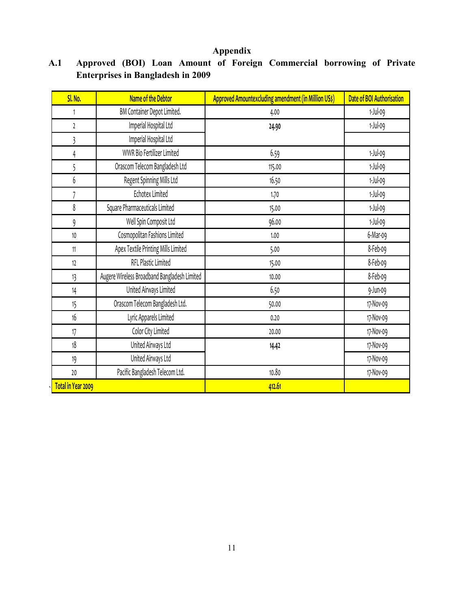## Appendix

| SI. No.            | Name of the Debtor                           | Approved Amountexcluding amendment (in Million US\$) | Date of BOI Authorisation |
|--------------------|----------------------------------------------|------------------------------------------------------|---------------------------|
| 1                  | BM Container Depot Limited.                  | 4.00                                                 | $1-Jul-09$                |
| $\overline{2}$     | Imperial Hospital Ltd                        | 24.90                                                | 1-Jul-09                  |
| 3                  | Imperial Hospital Ltd                        |                                                      |                           |
| $\overline{4}$     | WWR Bio Fertilizer Limited                   | 6.59                                                 | 1-Jul-09                  |
| 5                  | Orascom Telecom Bangladesh Ltd               | 115.00                                               | 1-Jul-09                  |
| 6                  | Regent Spinning Mills Ltd                    | 16.50                                                | 1-Jul-09                  |
|                    | Echotex Limited                              | 1.70                                                 | 1-Jul-09                  |
| 8                  | Square Pharmaceuticals Limited               | 15.00                                                | 1-Jul-09                  |
| 9                  | Well Spin Composit Ltd                       | 96.00                                                | 1-Jul-09                  |
| $10$               | Cosmopolitan Fashions Limited                | 1.00                                                 | 6-Mar-09                  |
| 11                 | Apex Textile Printing Mills Limited          | 5.00                                                 | 8-Feb-og                  |
| 12                 | RFL Plastic Limited                          | 15.00                                                | 8-Feb-og                  |
| 13                 | Augere Wireless Broadband Bangladesh Limited | 10.00                                                | 8-Feb-og                  |
| 14                 | United Airways Limited                       | 6.50                                                 | 9-Jun-09                  |
| 15                 | Orascom Telecom Bangladesh Ltd.              | 50.00                                                | 17-Nov-09                 |
| 16                 | Lyric Apparels Limited                       | 0.20                                                 | 17-Nov-09                 |
| 17                 | Color City Limited                           | 20.00                                                | 17-Nov-09                 |
| 18                 | United Airways Ltd                           | 14.42                                                | 17-Nov-09                 |
| 19                 | United Airways Ltd                           |                                                      | 17-Nov-09                 |
| 20                 | Pacific Bangladesh Telecom Ltd.              | 10.80                                                | 17-Nov-09                 |
| Total in Year 2009 |                                              | 412.61                                               |                           |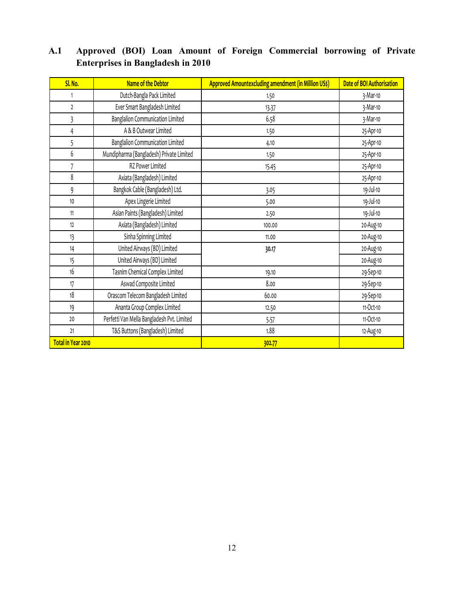| SI. No.            | Name of the Debtor                         | <b>Approved Amountexcluding amendment (in Million US\$)</b> | Date of BOI Authorisation |
|--------------------|--------------------------------------------|-------------------------------------------------------------|---------------------------|
| 1                  | Dutch-Bangla Pack Limited                  | 1.50                                                        | 3-Mar-10                  |
| $\mathfrak{p}$     | Ever Smart Bangladesh Limited              | 13.37                                                       | 3-Mar-10                  |
| 3                  | Banglalion Communication Limited           | 6.58                                                        | 3-Mar-10                  |
| 4                  | A & B Outwear Limited                      | 1.50                                                        | 25-Apr-10                 |
| 5                  | <b>Banglalion Communication Limited</b>    | 4.10                                                        | 25-Apr-10                 |
| 6                  | Mundipharma (Bangladesh) Private Limited   | 1.50                                                        | 25-Apr-10                 |
| $\overline{7}$     | RZ Power Limited                           | 15.45                                                       | 25-Apr-10                 |
| 8                  | Axiata (Bangladesh) Limited                |                                                             | 25-Apr-10                 |
| 9                  | Bangkok Cable (Bangladesh) Ltd.            | 3.05                                                        | 19-Jul-10                 |
| 10                 | Apex Lingerie Limited                      | 5.00                                                        | 19-Jul-10                 |
| 11                 | Asian Paints (Bangladesh) Limited          | 2.50                                                        | 19-Jul-10                 |
| 12                 | Axiata (Bangladesh) Limited                | 100.00                                                      | 20-Aug-10                 |
| 13                 | Sinha Spinning Limited                     | 11.00                                                       | 20-Aug-10                 |
| 14                 | United Airways (BD) Limited                | 30.17                                                       | 20-Aug-10                 |
| 15                 | United Airways (BD) Limited                |                                                             | 20-Aug-10                 |
| 16                 | Tasnim Chemical Complex Limited            | 19.10                                                       | 29-Sep-10                 |
| 17                 | Aswad Composite Limited                    | 8.00                                                        | 29-Sep-10                 |
| 18                 | Orascom Telecom Bangladesh Limited         | 60.00                                                       | 29-Sep-10                 |
| 19                 | Ananta Group Complex Limited               | 12.50                                                       | 11-Oct-10                 |
| 20                 | Perfetti Van Mella Bangladesh Pvt. Limited | 5.57                                                        | 11-Oct-10                 |
| 21                 | T&S Buttons (Bangladesh) Limited           | 1.88                                                        | 12-Aug-10                 |
| Total in Year 2010 |                                            | 302.77                                                      |                           |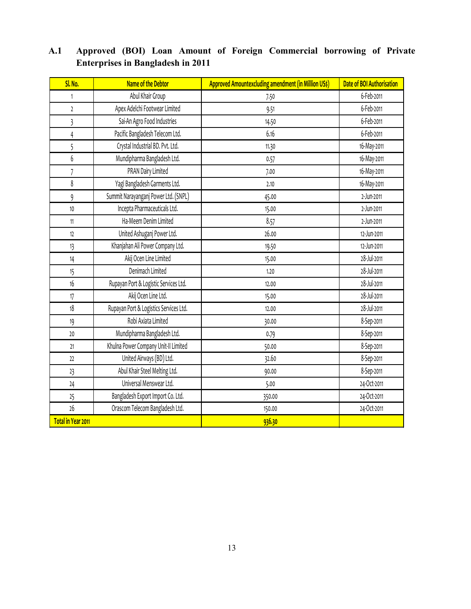| <b>SI. No.</b>          | <b>Name of the Debtor</b>              | <b>Approved Amountexcluding amendment (in Million US\$)</b> | Date of BOI Authorisation |
|-------------------------|----------------------------------------|-------------------------------------------------------------|---------------------------|
| $\mathbf{1}$            | Abul Khair Group                       | 7.50                                                        | 6-Feb-2011                |
| $\mathfrak z$           | Apex Adelchi Footwear Limited          | 9.51                                                        | 6-Feb-2011                |
| $\overline{\mathbf{3}}$ | Sai-An Agro Food Industries            | 14.50                                                       | 6-Feb-2011                |
| 4                       | Pacific Bangladesh Telecom Ltd.        | 6.16                                                        | 6-Feb-2011                |
| 5                       | Crystal Industrial BD. Pvt. Ltd.       | 11.30                                                       | 16-May-2011               |
| 6                       | Mundipharma Bangladesh Ltd.            | 0.57                                                        | 16-May-2011               |
| 7                       | PRAN Dairy Limited                     | 7.00                                                        | 16-May-2011               |
| 8                       | Yagi Bangladesh Garments Ltd.          | 2.10                                                        | 16-May-2011               |
| 9                       | Summit Narayanganj Power Ltd. (SNPL)   | 45.00                                                       | 2-Jun-2011                |
| 10                      | Incepta Pharmaceuticals Ltd.           | 15.00                                                       | 2-Jun-2011                |
| 11                      | Ha-Meem Denim Limited                  | 8.57                                                        | 2-Jun-2011                |
| 12                      | United Ashuganj Power Ltd.             | 26.00                                                       | 12-Jun-2011               |
| 13                      | Khanjahan Ali Power Company Ltd.       | 19.50                                                       | 12-Jun-2011               |
| 14                      | Akij Ocen Line Limited                 | 15.00                                                       | 28-Jul-2011               |
| 15                      | Denimach Limited                       | 1.20                                                        | 28-Jul-2011               |
| 16                      | Rupayan Port & Logistic Services Ltd.  | 12.00                                                       | 28-Jul-2011               |
| 17                      | Akij Ocen Line Ltd.                    | 15.00                                                       | 28-Jul-2011               |
| 18                      | Rupayan Port & Logistics Services Ltd. | 12.00                                                       | 28-Jul-2011               |
| 19                      | Robi Axiata Limited                    | 30.00                                                       | 8-Sep-2011                |
| 20                      | Mundipharma Bangladesh Ltd.            | 0.79                                                        | 8-Sep-2011                |
| 21                      | Khulna Power Company Unit-II Limited   | 50.00                                                       | 8-Sep-2011                |
| 22                      | United Airways (BD) Ltd.               | 32.60                                                       | 8-Sep-2011                |
| 23                      | Abul Khair Steel Melting Ltd.          | 90.00                                                       | 8-Sep-2011                |
| 24                      | Universal Menswear Ltd.                | 5.00                                                        | 24-Oct-2011               |
| 25                      | Bangladesh Export Import Co. Ltd.      | 350.00                                                      | 24-Oct-2011               |
| 26                      | Orascom Telecom Bangladesh Ltd.        | 150.00                                                      | 24-Oct-2011               |
| Total in Year 2011      |                                        | 936.30                                                      |                           |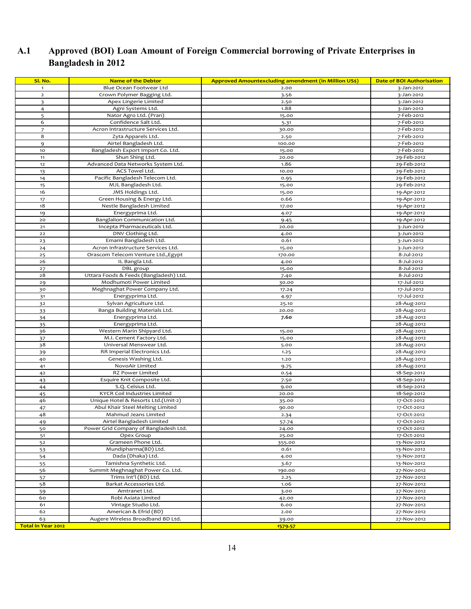| Sl. No.                   | <b>Name of the Debtor</b>                       | <b>Approved Amountexcluding amendment (in Million US\$)</b> | <b>Date of BOI Authorisation</b> |
|---------------------------|-------------------------------------------------|-------------------------------------------------------------|----------------------------------|
| $\mathbf{1}$              | Blue Ocean Footwear Ltd                         | 2.00                                                        | 3-Jan-2012                       |
| $\mathbf{2}$              | Crown Polymer Bagging Ltd.                      | 3.56                                                        | 3-Jan-2012                       |
| 3                         | Apex Lingerie Limited                           | 2.50                                                        | 3-Jan-2012                       |
| $\overline{4}$            | Agni Systems Ltd.                               | 1.88                                                        | 3-Jan-2012                       |
| 5                         | Nator Agro Ltd. (Pran)                          | 15.00                                                       | 7-Feb-2012                       |
| 6                         | Confidence Salt Ltd.                            | 5.31                                                        | 7-Feb-2012                       |
| $\overline{7}$            | Acron Intrastructure Services Ltd.              | 30.00                                                       | 7-Feb-2012                       |
| 8                         | Zyta Apparels Ltd.                              | 2.50                                                        | 7-Feb-2012                       |
| 9                         | Airtel Bangladesh Ltd.                          | 100.00                                                      | 7-Feb-2012                       |
| 10                        | Bangladesh Export Import Co. Ltd.               | 15.00                                                       | 7-Feb-2012                       |
| 11                        | Shun Shing Ltd.                                 | 20.00                                                       | 29-Feb-2012                      |
| 12                        | Advanced Data Networks System Ltd.              | 1.86                                                        | 29-Feb-2012                      |
| 13                        | ACS Towel Ltd.                                  | 10.00                                                       | 29-Feb-2012                      |
| 14                        | Pacific Bangladesh Telecom Ltd.                 | 0.95                                                        | 29-Feb-2012                      |
| 15                        | MJL Bangladesh Ltd.                             | 15.00                                                       | 29-Feb-2012                      |
| 16                        | JMS Holdings Ltd.                               | 15.00                                                       | 19-Apr-2012                      |
| 17                        | Green Housing & Energy Ltd.                     | 0.66                                                        | 19-Apr-2012                      |
| 18                        | Nestle Bangladesh Limited                       | 17.00                                                       | 19-Apr-2012                      |
| 19                        | Energyprima Ltd.                                | 4.07                                                        | 19-Apr-2012                      |
| 20                        | Banglalion Communication Ltd.                   | 9.45                                                        | 19-Apr-2012                      |
| 21                        | Incepta Pharmaceuticals Ltd.                    | 20.00                                                       | 3-Jun-2012                       |
| 22                        | DNV Clothing Ltd.                               | 4.00                                                        | 3-Jun-2012                       |
| 23                        | Emami Bangladesh Ltd.                           | 0.61                                                        | 3-Jun-2012                       |
| 24                        | Acron Infrastructure Services Ltd.              | 15.00                                                       | 3-Jun-2012                       |
| 25                        | Orascom Telecom Venture Ltd., Egypt             | 170.00                                                      | 8-Jul-2012                       |
| 26                        | IL Bangla Ltd.                                  | 4.00                                                        | 8-Jul-2012                       |
| 27                        | DBL group                                       | 15.00                                                       | 8-Jul-2012                       |
| 28                        | Uttara Foods & Feeds (Bangladesh) Ltd.          | 7.40                                                        | 8-Jul-2012                       |
| 29                        | Modhumoti Power Limited                         | 30.00                                                       | 17-Jul-2012                      |
| 30                        | Meghnaghat Power Company Ltd.                   | 17.24                                                       | 17-Jul-2012                      |
| 31                        | Energyprima Ltd.                                | 4.97                                                        | 17-Jul-2012                      |
| 32                        | Sylvan Agriculture Ltd.                         | 25.10                                                       | 28-Aug-2012                      |
| 33                        | Banga Building Materials Ltd.                   | 20.00                                                       | 28-Aug-2012                      |
| 34                        | Energyprima Ltd.                                | 7.60                                                        | 28-Aug-2012                      |
| 35<br>36                  | Energyprima Ltd.<br>Western Marin Shipyard Ltd. | 15.00                                                       | 28-Aug-2012<br>28-Aug-2012       |
|                           | M.I. Cement Factory Ltd.                        | 15.00                                                       | 28-Aug-2012                      |
| 37<br>38                  | Universal Menswear Ltd.                         | 5.00                                                        | 28-Aug-2012                      |
| 39                        | RR Imperial Electronics Ltd.                    | 1.25                                                        | 28-Aug-2012                      |
| 40                        | Genesis Washing Ltd.                            | 1.20                                                        | 28-Aug-2012                      |
| 41                        | NovoAir Limited                                 | 9.75                                                        | 28-Aug-2012                      |
| 42                        | RZ Power Limited                                | 0.54                                                        | 18-Sep-2012                      |
| 43                        | Esquire Knit Composite Ltd.                     | 7.50                                                        | 18-Sep-2012                      |
| 44                        | S.Q. Celsius Ltd.                               | 9.00                                                        | 18-Sep-2012                      |
| 45                        | KYCR Coil Industries Limited                    | 20.00                                                       | 18-Sep-2012                      |
| 46                        | Unique Hotel & Resorts Ltd.(Unit-2)             | 35.00                                                       | 17-Oct-2012                      |
| 47                        | Abul Khair Steel Melting Limited                | 90.00                                                       | 17-Oct-2012                      |
| 48                        | Mahmud Jeans Limited                            | 2.34                                                        | 17-Oct-2012                      |
| 49                        | Airtel Bangladesh Limited                       | 57.74                                                       | 17-Oct-2012                      |
| 50                        | Power Grid Company of Bangladesh Ltd.           | 24.00                                                       | 17-Oct-2012                      |
| 51                        | Opex Group                                      | 25.00                                                       | 17-Oct-2012                      |
| 52                        | Grameen Phone Ltd.                              | 355.00                                                      | 13-Nov-2012                      |
| 53                        | Mundipharma(BD) Ltd.                            | 0.61                                                        | 13-Nov-2012                      |
| 54                        | Dada (Dhaka) Ltd.                               | 4.00                                                        | 13-Nov-2012                      |
| 55                        | Tamishna Synthetic Ltd.                         | 3.67                                                        | 13-Nov-2012                      |
| 56                        | Summit Meghnaghat Power Co. Ltd.                | 190.00                                                      | 27-Nov-2012                      |
| 57                        | Trims Int'l (BD) Ltd.                           | 2.25                                                        | 27-Nov-2012                      |
| 58                        | Barkat Accessories Ltd.                         | 1.06                                                        | 27-Nov-2012                      |
| 59                        | Amtranet Ltd.                                   | 3.00                                                        | 27-Nov-2012                      |
| 60                        | Robi Axiata Limited                             | 42.00                                                       | 27-Nov-2012                      |
| 61                        | Vintage Studio Ltd.                             | 6.00                                                        | 27-Nov-2012                      |
| 62                        | American & Efrid (BD)                           | 2.00                                                        | 27-Nov-2012                      |
| 63                        | Augere Wireless Broadband BD Ltd.               | 39.00                                                       | 27-Nov-2012                      |
| <b>Total in Year 2012</b> |                                                 | 1579-57                                                     |                                  |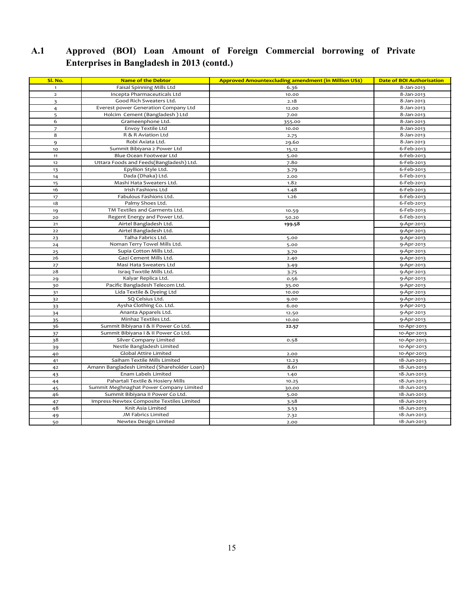| Sl. No.                 | <b>Name of the Debtor</b>                   | <b>Approved Amountexcluding amendment (in Million US\$)</b> | <b>Date of BOI Authorisation</b> |
|-------------------------|---------------------------------------------|-------------------------------------------------------------|----------------------------------|
| $\mathbf{1}$            | Faisal Spinning Mills Ltd                   | 6.36                                                        | 8-Jan-2013                       |
| $\overline{2}$          | Incepta Pharmaceuticals Ltd                 | 10.00                                                       | 8-Jan-2013                       |
| $\overline{\mathbf{3}}$ | Good Rich Sweaters Ltd.                     | 2.18                                                        | 8-Jan-2013                       |
| 4                       | Everest power Generation Company Ltd        | 12.00                                                       | 8-Jan-2013                       |
| 5                       | Holcim Cement (Bangladesh) Ltd              | 7.00                                                        | 8-Jan-2013                       |
| 6                       | Grameenphone Ltd.                           | 355.00                                                      | 8-Jan-2013                       |
| $\overline{7}$          | Envoy Textile Ltd                           | 10.00                                                       | 8-Jan-2013                       |
| 8                       | R & R Aviation Ltd                          | 2.75                                                        | 8-Jan-2013                       |
| 9                       | Robi Axiata Ltd.                            | 29.60                                                       | 8-Jan-2013                       |
| 10                      | Summit Bibiyana 2 Power Ltd                 | 15.12                                                       | 6-Feb-2013                       |
| 11                      | Blue Ocean Footwear Ltd                     | 5.00                                                        | 6-Feb-2013                       |
| 12                      | Uttara Foods and Feeds(Bangladesh) Ltd.     | 7.80                                                        | 6-Feb-2013                       |
| 13                      | Epyllion Style Ltd.                         | 3.79                                                        | 6-Feb-2013                       |
| 14                      | Dada (Dhaka) Ltd.                           | 2.00                                                        | 6-Feb-2013                       |
| 15                      | Mashi Hata Sweaters Ltd.                    | 1.82                                                        | 6-Feb-2013                       |
| 16                      | Irish Fashions Ltd                          | 1.48                                                        | 6-Feb-2013                       |
| 17                      | Fabulous Fashions Ltd.                      | 1.26                                                        | 6-Feb-2013                       |
| 18                      | Palmy Shoes Ltd.                            |                                                             | 6-Feb-2013                       |
| 19                      | TM Textiles and Garments Ltd.               | 10.59                                                       | 6-Feb-2013                       |
| 20                      | Regent Energy and Power Ltd.                | 50.20                                                       | 6-Feb-2013                       |
| 21                      | Airtel Bangladesh Ltd.                      | 199.58                                                      | 9-Apr-2013                       |
| 22                      | Airtel Bangladesh Ltd.                      |                                                             | 9-Apr-2013                       |
| 23                      | Talha Fabrics Ltd.                          | 5.00                                                        | 9-Apr-2013                       |
| 24                      | Noman Terry Towel Mills Ltd.                | 5.00                                                        | 9-Apr-2013                       |
| 25                      | Supia Cotton Mills Ltd.                     | 3.70                                                        | 9-Apr-2013                       |
| 26                      | Gazi Cement Mills Ltd.                      | 2.40                                                        | 9-Apr-2013                       |
| 27                      | Masi Hata Sweaters Ltd                      | 3.49                                                        | 9-Apr-2013                       |
| 28                      | Israq Twxtile Mills Ltd.                    | 3.75                                                        | 9-Apr-2013                       |
| 29                      | Kalyar Replica Ltd.                         | 0.56                                                        | 9-Apr-2013                       |
| 30                      | Pacific Bangladesh Telecom Ltd.             | 35.00                                                       | 9-Apr-2013                       |
| 31                      | Lida Textile & Dyeing Ltd                   | 10.00                                                       | 9-Apr-2013                       |
| 32                      | SQ Celsius Ltd.                             | 9.00                                                        | 9-Apr-2013                       |
| 33                      | Aysha Clothing Co. Ltd.                     | 6.00                                                        | 9-Apr-2013                       |
| 34                      | Ananta Apparels Ltd.                        | 12.50                                                       | 9-Apr-2013                       |
| 35                      | Minhaz Textiles Ltd.                        | 10.00                                                       | 9-Apr-2013                       |
| 36                      | Summit Bibiyana I & II Power Co Ltd.        | 22.57                                                       | 10-Apr-2013                      |
| 37                      | Summit Bibiyana I & II Power Co Ltd.        |                                                             | 10-Apr-2013                      |
| 38                      | Silver Company Limited                      | 0.58                                                        | 10-Apr-2013                      |
| 39                      | Nestle Bangladesh Limited                   |                                                             | 10-Apr-2013                      |
| 40                      | Global Attire Limited                       | 2.00                                                        | 10-Apr-2013                      |
| 41                      | Saiham Textile Mills Limited                | 12.23                                                       | 18-Jun-2013                      |
| 42                      | Amann Bangladesh Limited (Shareholder Loan) | 8.61                                                        | 18-Jun-2013                      |
| 43                      | Enam Labels Limited                         | 1.40                                                        | 18-Jun-2013                      |
| 44                      | Pahartali Textile & Hosiery Mills           | 10.25                                                       | 18-Jun-2013                      |
| 45                      | Summit Meghnaghat Power Company Limited     | 30.00                                                       | 18-Jun-2013                      |
| 46                      | Summit Bibiyana II Power Co Ltd.            | 5.00                                                        | 18-Jun-2013                      |
| 47                      | Impress-Newtex Composite Textiles Limited   | 3.58                                                        | 18-Jun-2013                      |
| 48                      | Knit Asia Limited                           | 3.53                                                        | 18-Jun-2013                      |
| 49                      | JM Fabrics Limited                          | 7.32                                                        | 18-Jun-2013                      |
| 50                      | Newtex Design Limited                       | 2.00                                                        | 18-Jun-2013                      |